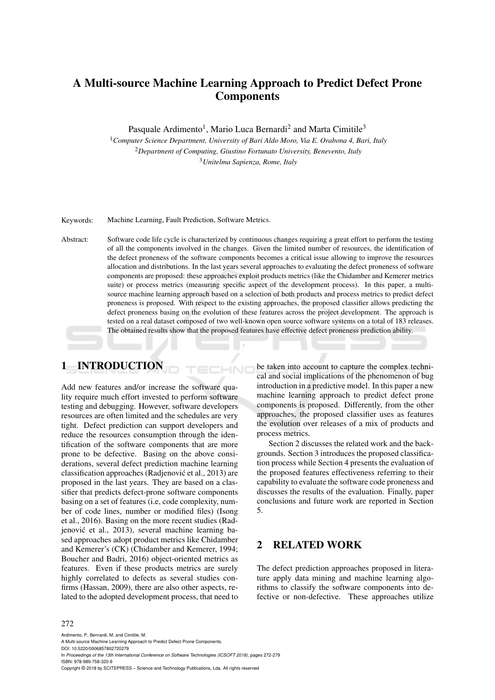# A Multi-source Machine Learning Approach to Predict Defect Prone Components

Pasquale Ardimento<sup>1</sup>, Mario Luca Bernardi<sup>2</sup> and Marta Cimitile<sup>3</sup>

<sup>1</sup>*Computer Science Department, University of Bari Aldo Moro, Via E. Orabona 4, Bari, Italy* <sup>2</sup>*Department of Computing, Giustino Fortunato University, Benevento, Italy* <sup>3</sup>*Unitelma Sapienza, Rome, Italy*

Keywords: Machine Learning, Fault Prediction, Software Metrics.

Abstract: Software code life cycle is characterized by continuous changes requiring a great effort to perform the testing of all the components involved in the changes. Given the limited number of resources, the identification of the defect proneness of the software components becomes a critical issue allowing to improve the resources allocation and distributions. In the last years several approaches to evaluating the defect proneness of software components are proposed: these approaches exploit products metrics (like the Chidamber and Kemerer metrics suite) or process metrics (measuring specific aspect of the development process). In this paper, a multisource machine learning approach based on a selection of both products and process metrics to predict defect proneness is proposed. With respect to the existing approaches, the proposed classifier allows predicting the defect proneness basing on the evolution of these features across the project development. The approach is tested on a real dataset composed of two well-known open source software systems on a total of 183 releases. The obtained results show that the proposed features have effective defect proneness prediction ability.

HNC

# 1 INTRODUCTION

Add new features and/or increase the software quality require much effort invested to perform software testing and debugging. However, software developers resources are often limited and the schedules are very tight. Defect prediction can support developers and reduce the resources consumption through the identification of the software components that are more prone to be defective. Basing on the above considerations, several defect prediction machine learning classification approaches (Radjenovic et al., 2013) are ´ proposed in the last years. They are based on a classifier that predicts defect-prone software components basing on a set of features (i.e, code complexity, number of code lines, number or modified files) (Isong et al., 2016). Basing on the more recent studies (Radjenović et al., 2013), several machine learning based approaches adopt product metrics like Chidamber and Kemerer's (CK) (Chidamber and Kemerer, 1994; Boucher and Badri, 2016) object-oriented metrics as features. Even if these products metrics are surely highly correlated to defects as several studies confirms (Hassan, 2009), there are also other aspects, related to the adopted development process, that need to

be taken into account to capture the complex technical and social implications of the phenomenon of bug introduction in a predictive model. In this paper a new machine learning approach to predict defect prone components is proposed. Differently, from the other approaches, the proposed classifier uses as features the evolution over releases of a mix of products and process metrics.

Section 2 discusses the related work and the backgrounds. Section 3 introduces the proposed classification process while Section 4 presents the evaluation of the proposed features effectiveness referring to their capability to evaluate the software code proneness and discusses the results of the evaluation. Finally, paper conclusions and future work are reported in Section 5.

## 2 RELATED WORK

The defect prediction approaches proposed in literature apply data mining and machine learning algorithms to classify the software components into defective or non-defective. These approaches utilize

#### 272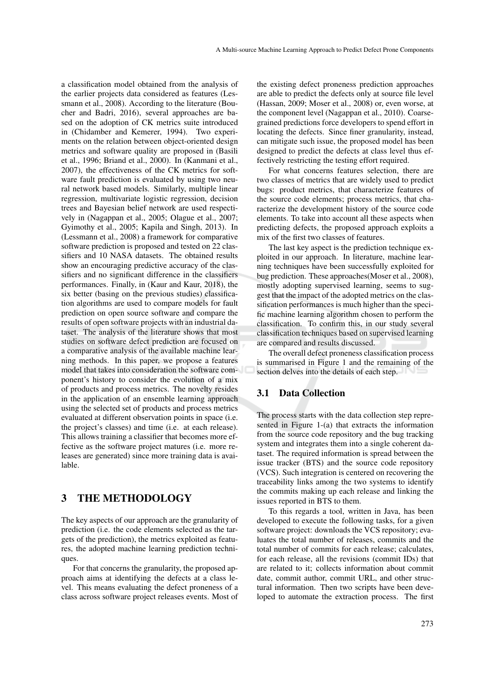a classification model obtained from the analysis of the earlier projects data considered as features (Lessmann et al., 2008). According to the literature (Boucher and Badri, 2016), several approaches are based on the adoption of CK metrics suite introduced in (Chidamber and Kemerer, 1994). Two experiments on the relation between object-oriented design metrics and software quality are proposed in (Basili et al., 1996; Briand et al., 2000). In (Kanmani et al., 2007), the effectiveness of the CK metrics for software fault prediction is evaluated by using two neural network based models. Similarly, multiple linear regression, multivariate logistic regression, decision trees and Bayesian belief network are used respectively in (Nagappan et al., 2005; Olague et al., 2007; Gyimothy et al., 2005; Kapila and Singh, 2013). In (Lessmann et al., 2008) a framework for comparative software prediction is proposed and tested on 22 classifiers and 10 NASA datasets. The obtained results show an encouraging predictive accuracy of the classifiers and no significant difference in the classifiers performances. Finally, in (Kaur and Kaur, 2018), the six better (basing on the previous studies) classification algorithms are used to compare models for fault prediction on open source software and compare the results of open software projects with an industrial dataset. The analysis of the literature shows that most studies on software defect prediction are focused on a comparative analysis of the available machine learning methods. In this paper, we propose a features model that takes into consideration the software component's history to consider the evolution of a mix of products and process metrics. The novelty resides in the application of an ensemble learning approach using the selected set of products and process metrics evaluated at different observation points in space (i.e. the project's classes) and time (i.e. at each release). This allows training a classifier that becomes more effective as the software project matures (i.e. more releases are generated) since more training data is available.

## 3 THE METHODOLOGY

The key aspects of our approach are the granularity of prediction (i.e. the code elements selected as the targets of the prediction), the metrics exploited as features, the adopted machine learning prediction techniques.

For that concerns the granularity, the proposed approach aims at identifying the defects at a class level. This means evaluating the defect proneness of a class across software project releases events. Most of

the existing defect proneness prediction approaches are able to predict the defects only at source file level (Hassan, 2009; Moser et al., 2008) or, even worse, at the component level (Nagappan et al., 2010). Coarsegrained predictions force developers to spend effort in locating the defects. Since finer granularity, instead, can mitigate such issue, the proposed model has been designed to predict the defects at class level thus effectively restricting the testing effort required.

For what concerns features selection, there are two classes of metrics that are widely used to predict bugs: product metrics, that characterize features of the source code elements; process metrics, that characterize the development history of the source code elements. To take into account all these aspects when predicting defects, the proposed approach exploits a mix of the first two classes of features.

The last key aspect is the prediction technique exploited in our approach. In literature, machine learning techniques have been successfully exploited for bug prediction. These approaches(Moser et al., 2008), mostly adopting supervised learning, seems to suggest that the impact of the adopted metrics on the classification performances is much higher than the specific machine learning algorithm chosen to perform the classification. To confirm this, in our study several classification techniques based on supervised learning are compared and results discussed.

The overall defect proneness classification process is summarised in Figure 1 and the remaining of the section delves into the details of each step.

#### 3.1 Data Collection

The process starts with the data collection step represented in Figure 1-(a) that extracts the information from the source code repository and the bug tracking system and integrates them into a single coherent dataset. The required information is spread between the issue tracker (BTS) and the source code repository (VCS). Such integration is centered on recovering the traceability links among the two systems to identify the commits making up each release and linking the issues reported in BTS to them.

To this regards a tool, written in Java, has been developed to execute the following tasks, for a given software project: downloads the VCS repository; evaluates the total number of releases, commits and the total number of commits for each release; calculates, for each release, all the revisions (commit IDs) that are related to it; collects information about commit date, commit author, commit URL, and other structural information. Then two scripts have been developed to automate the extraction process. The first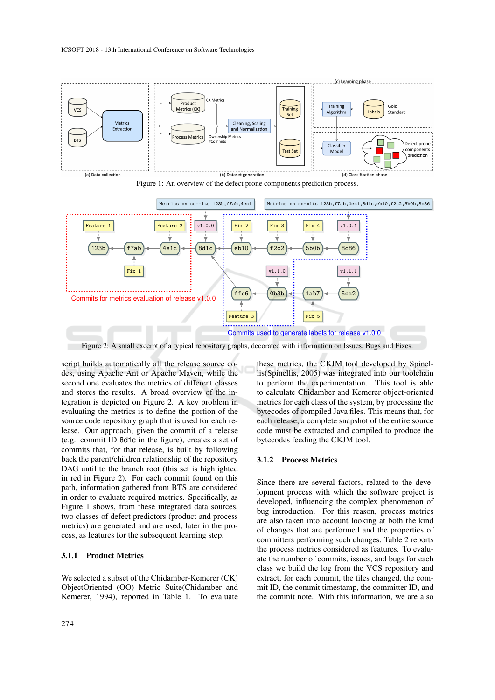

Figure 1: An overview of the defect prone components prediction process.



Figure 2: A small excerpt of a typical repository graphs, decorated with information on Issues, Bugs and Fixes.

script builds automatically all the release source codes, using Apache Ant or Apache Maven, while the second one evaluates the metrics of different classes and stores the results. A broad overview of the integration is depicted on Figure 2. A key problem in evaluating the metrics is to define the portion of the source code repository graph that is used for each release. Our approach, given the commit of a release (e.g. commit ID 8d1c in the figure), creates a set of commits that, for that release, is built by following back the parent/children relationship of the repository DAG until to the branch root (this set is highlighted in red in Figure 2). For each commit found on this path, information gathered from BTS are considered in order to evaluate required metrics. Specifically, as Figure 1 shows, from these integrated data sources, two classes of defect predictors (product and process metrics) are generated and are used, later in the process, as features for the subsequent learning step.

#### 3.1.1 Product Metrics

We selected a subset of the Chidamber-Kemerer (CK) ObjectOriented (OO) Metric Suite(Chidamber and Kemerer, 1994), reported in Table 1. To evaluate

these metrics, the CKJM tool developed by Spinellis(Spinellis, 2005) was integrated into our toolchain to perform the experimentation. This tool is able to calculate Chidamber and Kemerer object-oriented metrics for each class of the system, by processing the bytecodes of compiled Java files. This means that, for each release, a complete snapshot of the entire source code must be extracted and compiled to produce the bytecodes feeding the CKJM tool.

#### 3.1.2 Process Metrics

Since there are several factors, related to the development process with which the software project is developed, influencing the complex phenomenon of bug introduction. For this reason, process metrics are also taken into account looking at both the kind of changes that are performed and the properties of committers performing such changes. Table 2 reports the process metrics considered as features. To evaluate the number of commits, issues, and bugs for each class we build the log from the VCS repository and extract, for each commit, the files changed, the commit ID, the commit timestamp, the committer ID, and the commit note. With this information, we are also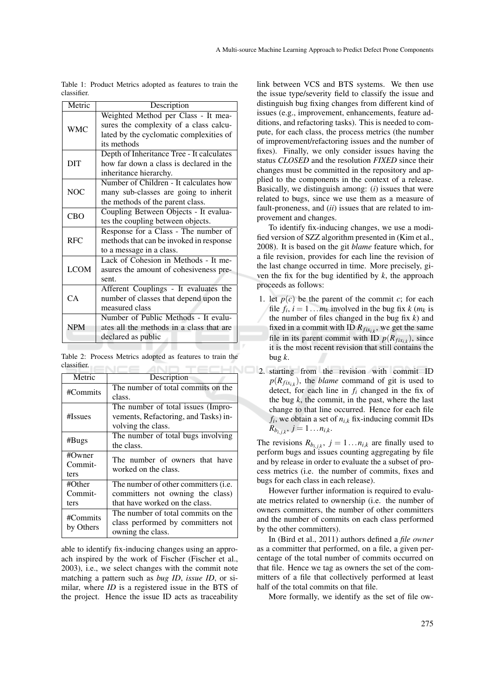| Metric      | Description                               |  |  |  |  |  |
|-------------|-------------------------------------------|--|--|--|--|--|
|             | Weighted Method per Class - It mea-       |  |  |  |  |  |
| <b>WMC</b>  | sures the complexity of a class calcu-    |  |  |  |  |  |
|             | lated by the cyclomatic complexities of   |  |  |  |  |  |
|             | its methods                               |  |  |  |  |  |
|             | Depth of Inheritance Tree - It calculates |  |  |  |  |  |
| DIT         | how far down a class is declared in the   |  |  |  |  |  |
|             | inheritance hierarchy.                    |  |  |  |  |  |
|             | Number of Children - It calculates how    |  |  |  |  |  |
| <b>NOC</b>  | many sub-classes are going to inherit     |  |  |  |  |  |
|             | the methods of the parent class.          |  |  |  |  |  |
| <b>CBO</b>  | Coupling Between Objects - It evalua-     |  |  |  |  |  |
|             | tes the coupling between objects.         |  |  |  |  |  |
|             | Response for a Class - The number of      |  |  |  |  |  |
| <b>RFC</b>  | methods that can be invoked in response   |  |  |  |  |  |
|             | to a message in a class.                  |  |  |  |  |  |
|             | Lack of Cohesion in Methods - It me-      |  |  |  |  |  |
| <b>LCOM</b> | asures the amount of cohesiveness pre-    |  |  |  |  |  |
|             | sent.                                     |  |  |  |  |  |
|             | Afferent Couplings - It evaluates the     |  |  |  |  |  |
| CA          | number of classes that depend upon the    |  |  |  |  |  |
|             | measured class                            |  |  |  |  |  |
|             | Number of Public Methods - It evalu-      |  |  |  |  |  |
| <b>NPM</b>  | ates all the methods in a class that are  |  |  |  |  |  |
|             | declared as public                        |  |  |  |  |  |

Table 1: Product Metrics adopted as features to train the classifier.

Table 2: Process Metrics adopted as features to train the classifier. ENCE AND

| Metric    | Description                                  |  |  |  |  |
|-----------|----------------------------------------------|--|--|--|--|
| #Commits  | The number of total commits on the           |  |  |  |  |
|           | class.                                       |  |  |  |  |
|           | The number of total issues (Impro-           |  |  |  |  |
| #Issues   | vements, Refactoring, and Tasks) in-         |  |  |  |  |
|           | volving the class.                           |  |  |  |  |
| #Bugs     | The number of total bugs involving           |  |  |  |  |
|           | the class.                                   |  |  |  |  |
| #Owner    | The number of owners that have               |  |  |  |  |
| Commit-   | worked on the class.                         |  |  |  |  |
| ters      |                                              |  |  |  |  |
| #Other    | The number of other committers ( <i>i.e.</i> |  |  |  |  |
| Commit-   | committers not owning the class)             |  |  |  |  |
| ters      | that have worked on the class.               |  |  |  |  |
| #Commits  | The number of total commits on the           |  |  |  |  |
|           | class performed by committers not            |  |  |  |  |
| by Others | owning the class.                            |  |  |  |  |

able to identify fix-inducing changes using an approach inspired by the work of Fischer (Fischer et al., 2003), i.e., we select changes with the commit note matching a pattern such as *bug ID*, *issue ID*, or similar, where *ID* is a registered issue in the BTS of the project. Hence the issue ID acts as traceability

link between VCS and BTS systems. We then use the issue type/severity field to classify the issue and distinguish bug fixing changes from different kind of issues (e.g., improvement, enhancements, feature additions, and refactoring tasks). This is needed to compute, for each class, the process metrics (the number of improvement/refactoring issues and the number of fixes). Finally, we only consider issues having the status *CLOSED* and the resolution *FIXED* since their changes must be committed in the repository and applied to the components in the context of a release. Basically, we distinguish among: (*i*) issues that were related to bugs, since we use them as a measure of fault-proneness, and (*ii*) issues that are related to improvement and changes.

To identify fix-inducing changes, we use a modified version of SZZ algorithm presented in (Kim et al., 2008). It is based on the git *blame* feature which, for a file revision, provides for each line the revision of the last change occurred in time. More precisely, given the fix for the bug identified by *k*, the approach proceeds as follows:

- 1. let  $p(c)$  be the parent of the commit *c*; for each file  $f_i$ ,  $i = 1...m_k$  involved in the bug fix  $k$  ( $m_k$  is the number of files changed in the bug fix *k*) and fixed in a commit with ID  $R_{fix_{i,k}}$ , we get the same file in its parent commit with ID  $p(R_{fix_{i,k}})$ , since it is the most recent revision that still contains the bug *k*.
- **2.** starting from the revision with commit ID  $p(R_{fix_{i,k}})$ , the *blame* command of git is used to detect, for each line in *f<sup>i</sup>* changed in the fix of the bug  $k$ , the commit, in the past, where the last change to that line occurred. Hence for each file  $f_i$ , we obtain a set of  $n_{i,k}$  fix-inducing commit IDs  $R_{b_{\bar{i},j,k}},\ j=1\ldots n_{i,k}.$

The revisions  $R_{b_{i,j,k}}$ ,  $j = 1...n_{i,k}$  are finally used to perform bugs and issues counting aggregating by file and by release in order to evaluate the a subset of process metrics (i.e. the number of commits, fixes and bugs for each class in each release).

However further information is required to evaluate metrics related to ownership (i.e. the number of owners committers, the number of other committers and the number of commits on each class performed by the other committers).

In (Bird et al., 2011) authors defined a *file owner* as a committer that performed, on a file, a given percentage of the total number of commits occurred on that file. Hence we tag as owners the set of the committers of a file that collectively performed at least half of the total commits on that file.

More formally, we identify as the set of file ow-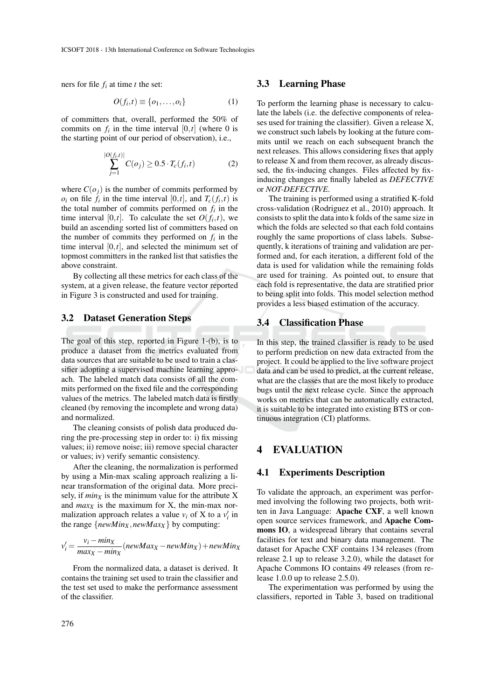ners for file  $f_i$  at time  $t$  the set:

$$
O(f_i, t) \equiv \{o_1, \dots, o_i\} \tag{1}
$$

of committers that, overall, performed the 50% of commits on  $f_i$  in the time interval  $[0,t]$  (where 0 is the starting point of our period of observation), i.e.,

$$
\sum_{j=1}^{|O(f_i,t)|} C(o_j) \ge 0.5 \cdot T_c(f_i, t)
$$
 (2)

where  $C(o_j)$  is the number of commits performed by  $o_i$  on file  $f_i$  in the time interval [0,*t*], and  $T_c(f_i, t)$  is the total number of commits performed on  $f_i$  in the time interval  $[0,t]$ . To calculate the set  $O(f_i,t)$ , we build an ascending sorted list of committers based on the number of commits they performed on  $f_i$  in the time interval  $[0,t]$ , and selected the minimum set of topmost committers in the ranked list that satisfies the above constraint.

By collecting all these metrics for each class of the system, at a given release, the feature vector reported in Figure 3 is constructed and used for training.

#### 3.2 Dataset Generation Steps

The goal of this step, reported in Figure 1-(b), is to produce a dataset from the metrics evaluated from data sources that are suitable to be used to train a classifier adopting a supervised machine learning approach. The labeled match data consists of all the commits performed on the fixed file and the corresponding values of the metrics. The labeled match data is firstly cleaned (by removing the incomplete and wrong data) and normalized.

The cleaning consists of polish data produced during the pre-processing step in order to: i) fix missing values; ii) remove noise; iii) remove special character or values; iv) verify semantic consistency.

After the cleaning, the normalization is performed by using a Min-max scaling approach realizing a linear transformation of the original data. More precisely, if  $min_X$  is the minimum value for the attribute X and  $max<sub>X</sub>$  is the maximum for X, the min-max normalization approach relates a value  $v_i$  of X to a  $v'_i$  in the range  $\{newMin_X, newMax_X\}$  by computing:

$$
v_i' = \frac{v_i - \min_X}{\max_X - \min_X} (\text{newMax}_X - \text{newMin}_X) + \text{newMin}_X
$$

From the normalized data, a dataset is derived. It contains the training set used to train the classifier and the test set used to make the performance assessment of the classifier.

#### 3.3 Learning Phase

To perform the learning phase is necessary to calculate the labels (i.e. the defective components of releases used for training the classifier). Given a release X, we construct such labels by looking at the future commits until we reach on each subsequent branch the next releases. This allows considering fixes that apply to release X and from them recover, as already discussed, the fix-inducing changes. Files affected by fixinducing changes are finally labeled as *DEFECTIVE* or *NOT-DEFECTIVE*.

The training is performed using a stratified K-fold cross-validation (Rodriguez et al., 2010) approach. It consists to split the data into k folds of the same size in which the folds are selected so that each fold contains roughly the same proportions of class labels. Subsequently, k iterations of training and validation are performed and, for each iteration, a different fold of the data is used for validation while the remaining folds are used for training. As pointed out, to ensure that each fold is representative, the data are stratified prior to being split into folds. This model selection method provides a less biased estimation of the accuracy.

### 3.4 Classification Phase

In this step, the trained classifier is ready to be used to perform prediction on new data extracted from the project. It could be applied to the live software project data and can be used to predict, at the current release, what are the classes that are the most likely to produce bugs until the next release cycle. Since the approach works on metrics that can be automatically extracted, it is suitable to be integrated into existing BTS or continuous integration (CI) platforms.

#### 4 EVALUATION

#### 4.1 Experiments Description

To validate the approach, an experiment was performed involving the following two projects, both written in Java Language: Apache CXF, a well known open source services framework, and Apache Commons IO, a widespread library that contains several facilities for text and binary data management. The dataset for Apache CXF contains 134 releases (from release 2.1 up to release 3.2.0), while the dataset for Apache Commons IO contains 49 releases (from release 1.0.0 up to release 2.5.0).

The experimentation was performed by using the classifiers, reported in Table 3, based on traditional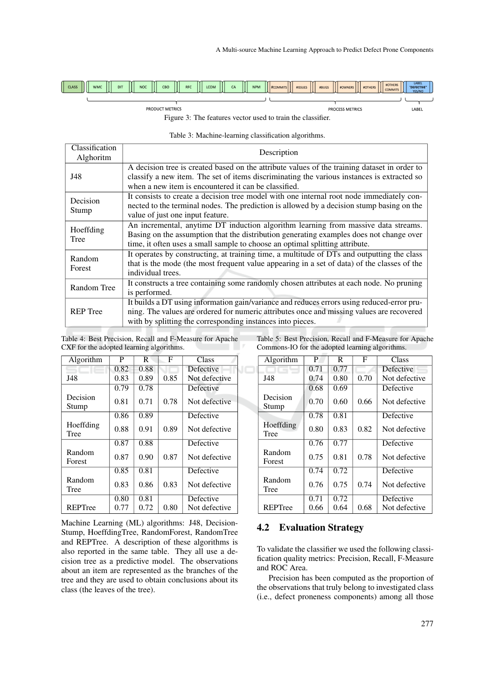PROCESS METRICS

LABEL

| CLASS<br>U | 10<br><b>WMC</b> | $\mathbb I$<br>DIT | I<br><b>NOC</b> | CBO | $\prod$<br><b>RFC</b> | <b>LCOM</b> | Ш<br>CA | Ш<br><b>NPM</b> | #ISSUES<br>$\left \left \right \right $ #COMMITS $\left \left \right \right $ | #BUGS | #OWNERS | #OTHERS | #OTHERS<br><b>COMMITS</b> | LABEL<br>"DEFECTIVE"<br>YES/NO |
|------------|------------------|--------------------|-----------------|-----|-----------------------|-------------|---------|-----------------|-------------------------------------------------------------------------------|-------|---------|---------|---------------------------|--------------------------------|
|            |                  |                    |                 |     |                       |             |         |                 |                                                                               |       |         |         |                           |                                |

Figure 3: The features vector used to train the classifier.

Table 3: Machine-learning classification algorithms.

| Classification  | Description                                                                                  |  |  |  |  |  |
|-----------------|----------------------------------------------------------------------------------------------|--|--|--|--|--|
| Alghoritm       |                                                                                              |  |  |  |  |  |
|                 | A decision tree is created based on the attribute values of the training dataset in order to |  |  |  |  |  |
| J48             | classify a new item. The set of items discriminating the various instances is extracted so   |  |  |  |  |  |
|                 | when a new item is encountered it can be classified.                                         |  |  |  |  |  |
| Decision        | It consists to create a decision tree model with one internal root node immediately con-     |  |  |  |  |  |
| Stump           | nected to the terminal nodes. The prediction is allowed by a decision stump basing on the    |  |  |  |  |  |
|                 | value of just one input feature.                                                             |  |  |  |  |  |
| Hoeffding       | An incremental, anytime DT induction algorithm learning from massive data streams.           |  |  |  |  |  |
| Tree            | Basing on the assumption that the distribution generating examples does not change over      |  |  |  |  |  |
|                 | time, it often uses a small sample to choose an optimal splitting attribute.                 |  |  |  |  |  |
| Random          | It operates by constructing, at training time, a multitude of DTs and outputting the class   |  |  |  |  |  |
| Forest          | that is the mode (the most frequent value appearing in a set of data) of the classes of the  |  |  |  |  |  |
|                 | individual trees.                                                                            |  |  |  |  |  |
| Random Tree     | It constructs a tree containing some randomly chosen attributes at each node. No pruning     |  |  |  |  |  |
|                 | is performed.                                                                                |  |  |  |  |  |
|                 | It builds a DT using information gain/variance and reduces errors using reduced-error pru-   |  |  |  |  |  |
| <b>REP</b> Tree | ning. The values are ordered for numeric attributes once and missing values are recovered    |  |  |  |  |  |
|                 | with by splitting the corresponding instances into pieces.                                   |  |  |  |  |  |

JC

Table 4: Best Precision, Recall and F-Measure for Apache CXF for the adopted learning algorithms.

PRODUCT METRICS

| Table 5: Best Precision, Recall and F-Measure for Apache |  |  |
|----------------------------------------------------------|--|--|
| Commons-IO for the adopted learning algorithms.          |  |  |

| Algorithm         | P    | R    | F    | Class         |
|-------------------|------|------|------|---------------|
|                   | 0.82 | 0.88 |      | Defective     |
| J48               | 0.83 | 0.89 | 0.85 | Not defective |
|                   | 0.79 | 0.78 |      | Defective     |
| Decision<br>Stump | 0.81 | 0.71 | 0.78 | Not defective |
|                   | 0.86 | 0.89 |      | Defective     |
| Hoeffding<br>Tree | 0.88 | 0.91 | 0.89 | Not defective |
|                   | 0.87 | 0.88 |      | Defective     |
| Random<br>Forest  | 0.87 | 0.90 | 0.87 | Not defective |
|                   | 0.85 | 0.81 |      | Defective     |
| Random<br>Tree    | 0.83 | 0.86 | 0.83 | Not defective |
|                   | 0.80 | 0.81 |      | Defective     |
| REPTree           | 0.77 | 0.72 | 0.80 | Not defective |

Machine Learning (ML) algorithms: J48, Decision-Stump, HoeffdingTree, RandomForest, RandomTree and REPTree. A description of these algorithms is also reported in the same table. They all use a decision tree as a predictive model. The observations about an item are represented as the branches of the tree and they are used to obtain conclusions about its class (the leaves of the tree).

| Algorithm         | P    | R    | F    | Class         |
|-------------------|------|------|------|---------------|
|                   | 0.71 | 0.77 |      | Defective     |
| J48               | 0.74 | 0.80 | 0.70 | Not defective |
|                   | 0.68 | 0.69 |      | Defective     |
| Decision<br>Stump | 0.70 | 0.60 | 0.66 | Not defective |
|                   | 0.78 | 0.81 |      | Defective     |
| Hoeffding<br>Tree | 0.80 | 0.83 | 0.82 | Not defective |
|                   | 0.76 | 0.77 |      | Defective     |
| Random<br>Forest  | 0.75 | 0.81 | 0.78 | Not defective |
|                   | 0.74 | 0.72 |      | Defective     |
| Random<br>Tree    | 0.76 | 0.75 | 0.74 | Not defective |
|                   | 0.71 | 0.72 |      | Defective     |
| REPTree           | 0.66 | 0.64 | 0.68 | Not defective |

### 4.2 Evaluation Strategy

To validate the classifier we used the following classification quality metrics: Precision, Recall, F-Measure and ROC Area.

Precision has been computed as the proportion of the observations that truly belong to investigated class (i.e., defect proneness components) among all those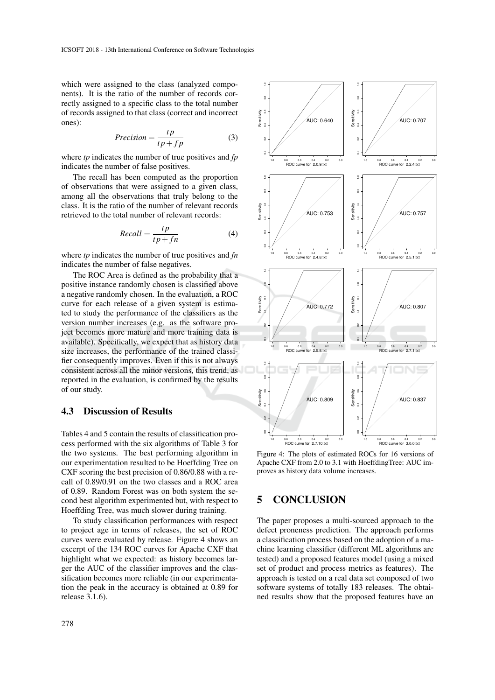which were assigned to the class (analyzed components). It is the ratio of the number of records correctly assigned to a specific class to the total number of records assigned to that class (correct and incorrect ones):

$$
Precision = \frac{tp}{tp + fp} \tag{3}
$$

where *tp* indicates the number of true positives and *fp* indicates the number of false positives.

The recall has been computed as the proportion of observations that were assigned to a given class, among all the observations that truly belong to the class. It is the ratio of the number of relevant records retrieved to the total number of relevant records:

$$
Recall = \frac{tp}{tp + fn} \tag{4}
$$

where *tp* indicates the number of true positives and *fn* indicates the number of false negatives.

The ROC Area is defined as the probability that a positive instance randomly chosen is classified above a negative randomly chosen. In the evaluation, a ROC curve for each release of a given system is estimated to study the performance of the classifiers as the version number increases (e.g. as the software project becomes more mature and more training data is available). Specifically, we expect that as history data size increases, the performance of the trained classifier consequently improves. Even if this is not always consistent across all the minor versions, this trend, as reported in the evaluation, is confirmed by the results of our study.

#### 4.3 Discussion of Results

Tables 4 and 5 contain the results of classification process performed with the six algorithms of Table 3 for the two systems. The best performing algorithm in our experimentation resulted to be Hoeffding Tree on CXF scoring the best precision of 0.86/0.88 with a recall of 0.89/0.91 on the two classes and a ROC area of 0.89. Random Forest was on both system the second best algorithm experimented but, with respect to Hoeffding Tree, was much slower during training.

To study classification performances with respect to project age in terms of releases, the set of ROC curves were evaluated by release. Figure 4 shows an excerpt of the 134 ROC curves for Apache CXF that highlight what we expected: as history becomes larger the AUC of the classifier improves and the classification becomes more reliable (in our experimentation the peak in the accuracy is obtained at 0.89 for release 3.1.6).



Figure 4: The plots of estimated ROCs for 16 versions of Apache CXF from 2.0 to 3.1 with HoeffdingTree: AUC improves as history data volume increases.

# 5 CONCLUSION

The paper proposes a multi-sourced approach to the defect proneness prediction. The approach performs a classification process based on the adoption of a machine learning classifier (different ML algorithms are tested) and a proposed features model (using a mixed set of product and process metrics as features). The approach is tested on a real data set composed of two software systems of totally 183 releases. The obtained results show that the proposed features have an